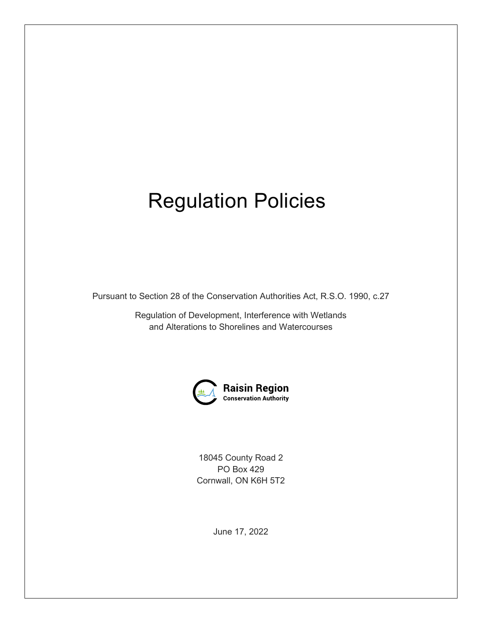# Regulation Policies

Pursuant to Section 28 of the Conservation Authorities Act, R.S.O. 1990, c.27

Regulation of Development, Interference with Wetlands and Alterations to Shorelines and Watercourses



18045 County Road 2 PO Box 429 Cornwall, ON K6H 5T2

June 17, 2022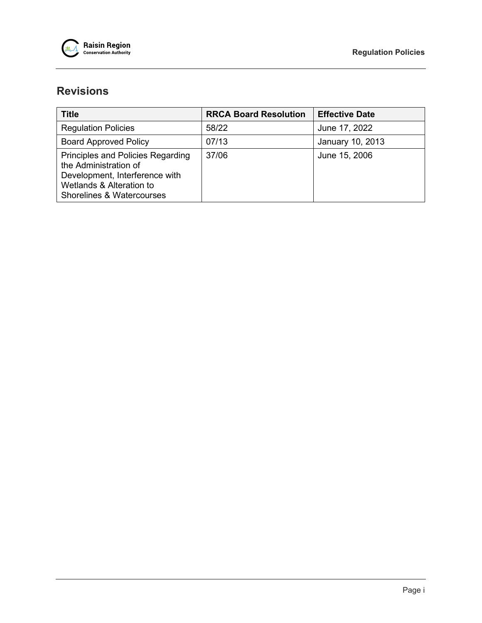

# **Revisions**

| Title                                                                                                                                                            | <b>RRCA Board Resolution</b> | <b>Effective Date</b> |
|------------------------------------------------------------------------------------------------------------------------------------------------------------------|------------------------------|-----------------------|
| <b>Regulation Policies</b>                                                                                                                                       | 58/22                        | June 17, 2022         |
| <b>Board Approved Policy</b>                                                                                                                                     | 07/13                        | January 10, 2013      |
| Principles and Policies Regarding<br>the Administration of<br>Development, Interference with<br>Wetlands & Alteration to<br><b>Shorelines &amp; Watercourses</b> | 37/06                        | June 15, 2006         |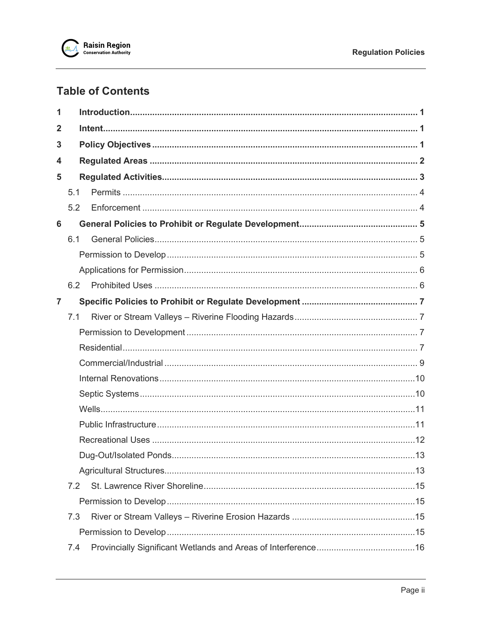

# **Table of Contents**

| 1              |     |  |  |  |  |
|----------------|-----|--|--|--|--|
| $\mathbf{2}$   |     |  |  |  |  |
| 3              |     |  |  |  |  |
| 4              |     |  |  |  |  |
| 5              |     |  |  |  |  |
|                | 5.1 |  |  |  |  |
|                | 5.2 |  |  |  |  |
| 6              |     |  |  |  |  |
|                | 6.1 |  |  |  |  |
|                |     |  |  |  |  |
|                |     |  |  |  |  |
|                | 6.2 |  |  |  |  |
| $\overline{7}$ |     |  |  |  |  |
|                | 7.1 |  |  |  |  |
|                |     |  |  |  |  |
|                |     |  |  |  |  |
|                |     |  |  |  |  |
|                |     |  |  |  |  |
|                |     |  |  |  |  |
|                |     |  |  |  |  |
|                |     |  |  |  |  |
|                |     |  |  |  |  |
|                |     |  |  |  |  |
|                |     |  |  |  |  |
|                | 7.2 |  |  |  |  |
|                |     |  |  |  |  |
|                | 7.3 |  |  |  |  |
|                |     |  |  |  |  |
|                | 7.4 |  |  |  |  |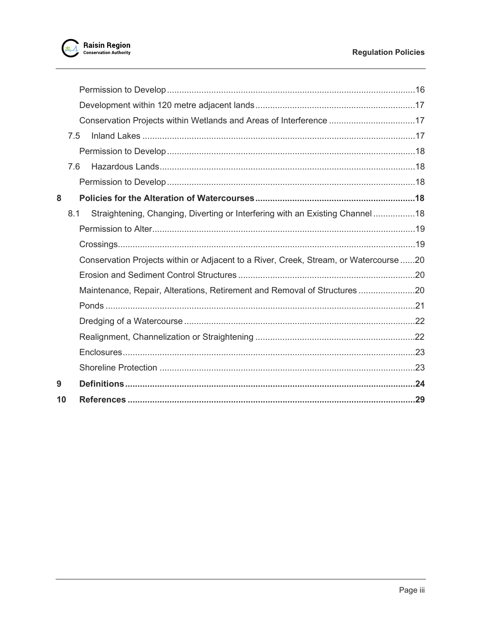

|    | 7.5 |                                                                                       |  |
|----|-----|---------------------------------------------------------------------------------------|--|
|    |     |                                                                                       |  |
|    | 7.6 |                                                                                       |  |
|    |     |                                                                                       |  |
| 8  |     |                                                                                       |  |
|    | 8.1 | Straightening, Changing, Diverting or Interfering with an Existing Channel18          |  |
|    |     |                                                                                       |  |
|    |     |                                                                                       |  |
|    |     | Conservation Projects within or Adjacent to a River, Creek, Stream, or Watercourse 20 |  |
|    |     |                                                                                       |  |
|    |     | Maintenance, Repair, Alterations, Retirement and Removal of Structures                |  |
|    |     |                                                                                       |  |
|    |     |                                                                                       |  |
|    |     |                                                                                       |  |
|    |     |                                                                                       |  |
|    |     |                                                                                       |  |
| 9  |     |                                                                                       |  |
| 10 |     |                                                                                       |  |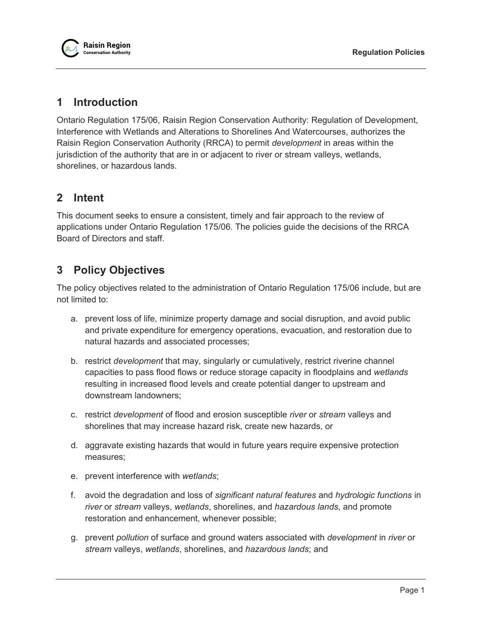

# <span id="page-4-0"></span>**1 Introduction**

Ontario Regulation 175/06, Raisin Region Conservation Authority: Regulation of Development, Interference with Wetlands and Alterations to Shorelines And Watercourses, authorizes the Raisin Region Conservation Authority (RRCA) to permit *development* in areas within the jurisdiction of the authority that are in or adjacent to river or stream valleys, wetlands, shorelines, or hazardous lands.

# <span id="page-4-1"></span>**2 Intent**

This document seeks to ensure a consistent, timely and fair approach to the review of applications under Ontario Regulation 175/06. The policies guide the decisions of the RRCA Board of Directors and staff.

# <span id="page-4-2"></span>**3 Policy Objectives**

The policy objectives related to the administration of Ontario Regulation 175/06 include, but are not limited to:

- a. prevent loss of life, minimize property damage and social disruption, and avoid public and private expenditure for emergency operations, evacuation, and restoration due to natural hazards and associated processes;
- b. restrict *development* that may, singularly or cumulatively, restrict riverine channel capacities to pass flood flows or reduce storage capacity in floodplains and *wetlands* resulting in increased flood levels and create potential danger to upstream and downstream landowners;
- c. restrict *development* of flood and erosion susceptible *river* or *stream* valleys and shorelines that may increase hazard risk, create new hazards, or
- d. aggravate existing hazards that would in future years require expensive protection measures;
- e. prevent interference with *wetlands*;
- f. avoid the degradation and loss of *significant natural features* and *hydrologic functions* in *river* or *stream* valleys, *wetlands*, shorelines, and *hazardous lands*, and promote restoration and enhancement, whenever possible;
- g. prevent *pollution* of surface and ground waters associated with *development* in *river* or *stream* valleys, *wetlands*, shorelines, and *hazardous lands*; and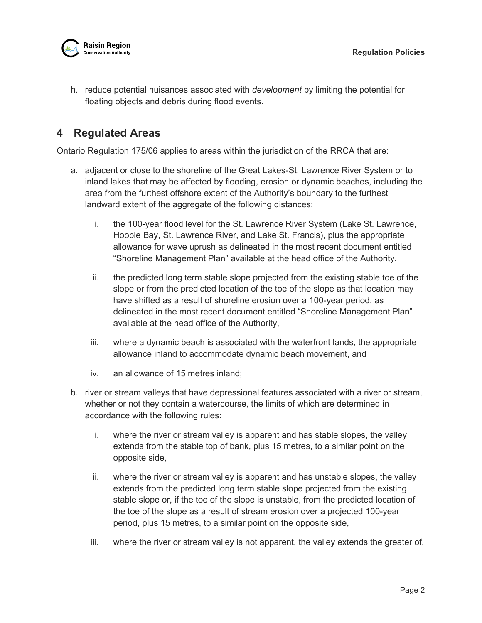h. reduce potential nuisances associated with *development* by limiting the potential for floating objects and debris during flood events.

# <span id="page-5-0"></span>**4 Regulated Areas**

Ontario Regulation 175/06 applies to areas within the jurisdiction of the RRCA that are:

- a. adjacent or close to the shoreline of the Great Lakes-St. Lawrence River System or to inland lakes that may be affected by flooding, erosion or dynamic beaches, including the area from the furthest offshore extent of the Authority's boundary to the furthest landward extent of the aggregate of the following distances:
	- i. the 100-year flood level for the St. Lawrence River System (Lake St. Lawrence, Hoople Bay, St. Lawrence River, and Lake St. Francis), plus the appropriate allowance for wave uprush as delineated in the most recent document entitled "Shoreline Management Plan" available at the head office of the Authority,
	- ii. the predicted long term stable slope projected from the existing stable toe of the slope or from the predicted location of the toe of the slope as that location may have shifted as a result of shoreline erosion over a 100-year period, as delineated in the most recent document entitled "Shoreline Management Plan" available at the head office of the Authority,
	- iii. where a dynamic beach is associated with the waterfront lands, the appropriate allowance inland to accommodate dynamic beach movement, and
	- iv. an allowance of 15 metres inland;
- b. river or stream valleys that have depressional features associated with a river or stream, whether or not they contain a watercourse, the limits of which are determined in accordance with the following rules:
	- i. where the river or stream valley is apparent and has stable slopes, the valley extends from the stable top of bank, plus 15 metres, to a similar point on the opposite side,
	- ii. where the river or stream valley is apparent and has unstable slopes, the valley extends from the predicted long term stable slope projected from the existing stable slope or, if the toe of the slope is unstable, from the predicted location of the toe of the slope as a result of stream erosion over a projected 100-year period, plus 15 metres, to a similar point on the opposite side,
	- iii. where the river or stream valley is not apparent, the valley extends the greater of,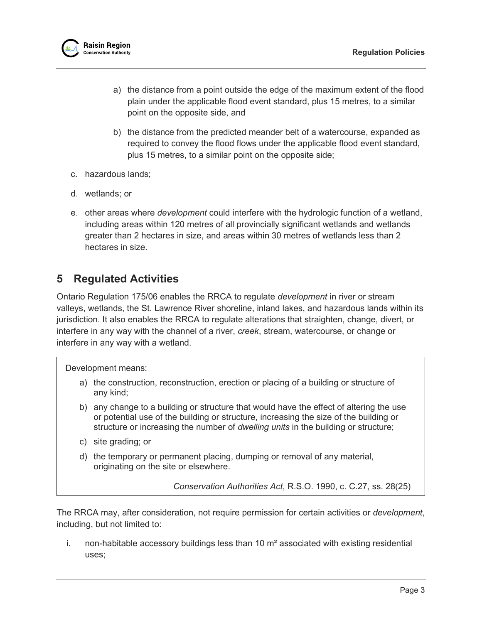

- a) the distance from a point outside the edge of the maximum extent of the flood plain under the applicable flood event standard, plus 15 metres, to a similar point on the opposite side, and
- b) the distance from the predicted meander belt of a watercourse, expanded as required to convey the flood flows under the applicable flood event standard, plus 15 metres, to a similar point on the opposite side;
- c. hazardous lands;
- d. wetlands; or
- e. other areas where *development* could interfere with the hydrologic function of a wetland, including areas within 120 metres of all provincially significant wetlands and wetlands greater than 2 hectares in size, and areas within 30 metres of wetlands less than 2 hectares in size.

# <span id="page-6-0"></span>**5 Regulated Activities**

Ontario Regulation 175/06 enables the RRCA to regulate *development* in river or stream valleys, wetlands, the St. Lawrence River shoreline, inland lakes, and hazardous lands within its jurisdiction. It also enables the RRCA to regulate alterations that straighten, change, divert, or interfere in any way with the channel of a river, *creek*, stream, watercourse, or change or interfere in any way with a wetland.

Development means:

- a) the construction, reconstruction, erection or placing of a building or structure of any kind;
- b) any change to a building or structure that would have the effect of altering the use or potential use of the building or structure, increasing the size of the building or structure or increasing the number of *dwelling units* in the building or structure;
- c) site grading; or
- d) the temporary or permanent placing, dumping or removal of any material, originating on the site or elsewhere.

*Conservation Authorities Act*, R.S.O. 1990, c. C.27, ss. 28(25)

The RRCA may, after consideration, not require permission for certain activities or *development*, including, but not limited to:

i. non-habitable accessory buildings less than 10  $m<sup>2</sup>$  associated with existing residential uses;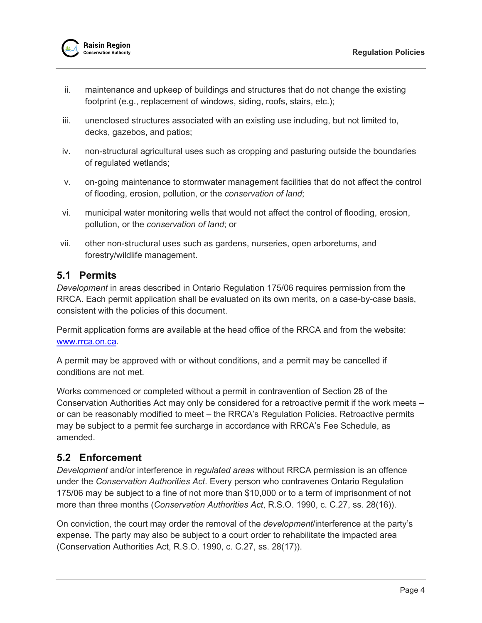- ii. maintenance and upkeep of buildings and structures that do not change the existing footprint (e.g., replacement of windows, siding, roofs, stairs, etc.);
- iii. unenclosed structures associated with an existing use including, but not limited to, decks, gazebos, and patios;
- iv. non-structural agricultural uses such as cropping and pasturing outside the boundaries of regulated wetlands;
- v. on-going maintenance to stormwater management facilities that do not affect the control of flooding, erosion, pollution, or the *conservation of land*;
- vi. municipal water monitoring wells that would not affect the control of flooding, erosion, pollution, or the *conservation of land*; or
- vii. other non-structural uses such as gardens, nurseries, open arboretums, and forestry/wildlife management.

# <span id="page-7-0"></span>**5.1 Permits**

*Development* in areas described in Ontario Regulation 175/06 requires permission from the RRCA. Each permit application shall be evaluated on its own merits, on a case-by-case basis, consistent with the policies of this document.

Permit application forms are available at the head office of the RRCA and from the website: [www.rrca.on.ca.](http://www.rrca.on.ca/)

A permit may be approved with or without conditions, and a permit may be cancelled if conditions are not met.

Works commenced or completed without a permit in contravention of Section 28 of the Conservation Authorities Act may only be considered for a retroactive permit if the work meets – or can be reasonably modified to meet – the RRCA's Regulation Policies. Retroactive permits may be subject to a permit fee surcharge in accordance with RRCA's Fee Schedule, as amended.

# <span id="page-7-1"></span>**5.2 Enforcement**

*Development* and/or interference in *regulated areas* without RRCA permission is an offence under the *Conservation Authorities Act*. Every person who contravenes Ontario Regulation 175/06 may be subject to a fine of not more than \$10,000 or to a term of imprisonment of not more than three months (*Conservation Authorities Act*, R.S.O. 1990, c. C.27, ss. 28(16)).

On conviction, the court may order the removal of the *development*/interference at the party's expense. The party may also be subject to a court order to rehabilitate the impacted area (Conservation Authorities Act, R.S.O. 1990, c. C.27, ss. 28(17)).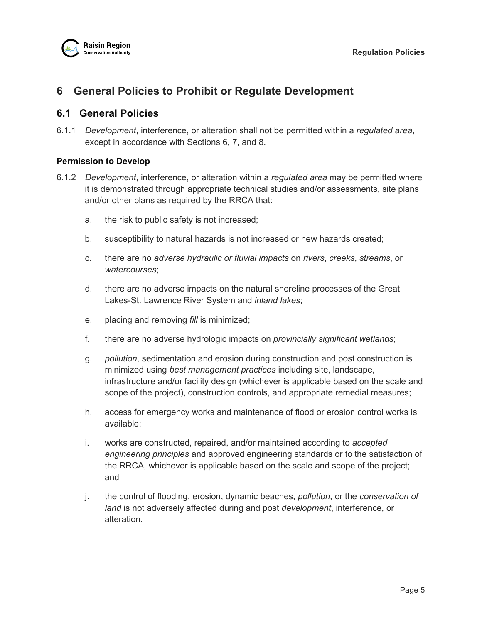

# <span id="page-8-0"></span>**6 General Policies to Prohibit or Regulate Development**

# <span id="page-8-1"></span>**6.1 General Policies**

6.1.1 *Development*, interference, or alteration shall not be permitted within a *regulated area*, except in accordance with Sections [6,](#page-8-0) [7,](#page-10-0) and [8.](#page-21-3)

## <span id="page-8-2"></span>**Permission to Develop**

- <span id="page-8-3"></span>6.1.2 *Development*, interference, or alteration within a *regulated area* may be permitted where it is demonstrated through appropriate technical studies and/or assessments, site plans and/or other plans as required by the RRCA that:
	- a. the risk to public safety is not increased;
	- b. susceptibility to natural hazards is not increased or new hazards created;
	- c. there are no *adverse hydraulic or fluvial impacts* on *rivers*, *creeks*, *streams*, or *watercourses*;
	- d. there are no adverse impacts on the natural shoreline processes of the Great Lakes-St. Lawrence River System and *inland lakes*;
	- e. placing and removing *fill* is minimized;
	- f. there are no adverse hydrologic impacts on *provincially significant wetlands*;
	- g. *pollution*, sedimentation and erosion during construction and post construction is minimized using *best management practices* including site, landscape, infrastructure and/or facility design (whichever is applicable based on the scale and scope of the project), construction controls, and appropriate remedial measures;
	- h. access for emergency works and maintenance of flood or erosion control works is available;
	- i. works are constructed, repaired, and/or maintained according to *accepted engineering principles* and approved engineering standards or to the satisfaction of the RRCA, whichever is applicable based on the scale and scope of the project; and
	- j. the control of flooding, erosion, dynamic beaches, *pollution*, or the *conservation of land* is not adversely affected during and post *development*, interference, or alteration.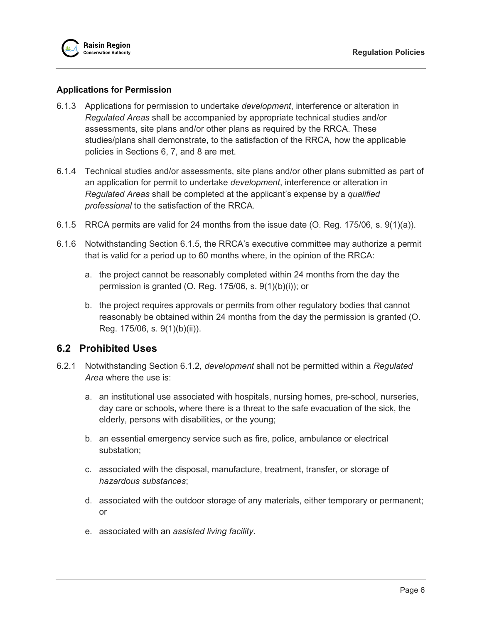## <span id="page-9-0"></span>**Applications for Permission**

- 6.1.3 Applications for permission to undertake *development*, interference or alteration in *Regulated Areas* shall be accompanied by appropriate technical studies and/or assessments, site plans and/or other plans as required by the RRCA. These studies/plans shall demonstrate, to the satisfaction of the RRCA, how the applicable policies in Sections [6,](#page-8-0) [7,](#page-10-0) and [8](#page-21-3) are met.
- 6.1.4 Technical studies and/or assessments, site plans and/or other plans submitted as part of an application for permit to undertake *development*, interference or alteration in *Regulated Areas* shall be completed at the applicant's expense by a *qualified professional* to the satisfaction of the RRCA.
- <span id="page-9-2"></span>6.1.5 RRCA permits are valid for 24 months from the issue date (O. Reg. 175/06, s. 9(1)(a)).
- 6.1.6 Notwithstanding Section [6.1.5,](#page-9-2) the RRCA's executive committee may authorize a permit that is valid for a period up to 60 months where, in the opinion of the RRCA:
	- a. the project cannot be reasonably completed within 24 months from the day the permission is granted (O. Reg. 175/06, s. 9(1)(b)(i)); or
	- b. the project requires approvals or permits from other regulatory bodies that cannot reasonably be obtained within 24 months from the day the permission is granted (O. Reg. 175/06, s. 9(1)(b)(ii)).

# <span id="page-9-1"></span>**6.2 Prohibited Uses**

- 6.2.1 Notwithstanding Section [6.1.2,](#page-8-3) *development* shall not be permitted within a *Regulated Area* where the use is:
	- a. an institutional use associated with hospitals, nursing homes, pre-school, nurseries, day care or schools, where there is a threat to the safe evacuation of the sick, the elderly, persons with disabilities, or the young;
	- b. an essential emergency service such as fire, police, ambulance or electrical substation;
	- c. associated with the disposal, manufacture, treatment, transfer, or storage of *hazardous substances*;
	- d. associated with the outdoor storage of any materials, either temporary or permanent; or
	- e. associated with an *assisted living facility*.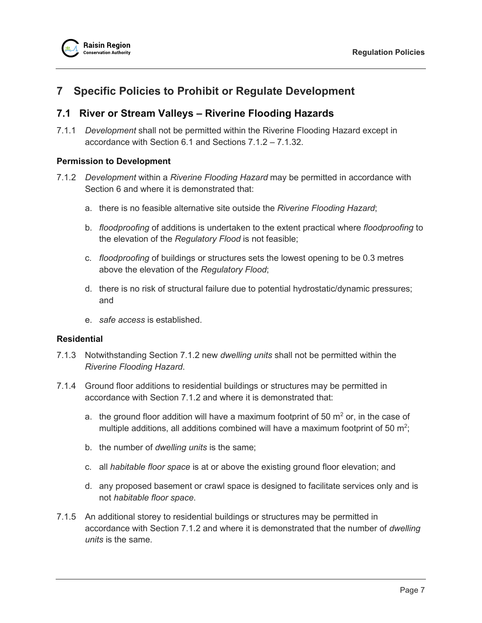

# <span id="page-10-0"></span>**7 Specific Policies to Prohibit or Regulate Development**

# <span id="page-10-1"></span>**7.1 River or Stream Valleys – Riverine Flooding Hazards**

7.1.1 *Development* shall not be permitted within the Riverine Flooding Hazard except in accordance with Section [6.1](#page-8-1) and Sections [7.1.2](#page-10-4) – [7.1.32.](#page-17-0)

## <span id="page-10-2"></span>**Permission to Development**

- <span id="page-10-4"></span>7.1.2 *Development* within a *Riverine Flooding Hazard* may be permitted in accordance with Section [6](#page-8-0) and where it is demonstrated that:
	- a. there is no feasible alternative site outside the *Riverine Flooding Hazard*;
	- b. *floodproofing* of additions is undertaken to the extent practical where *floodproofing* to the elevation of the *Regulatory Flood* is not feasible;
	- c. *floodproofing* of buildings or structures sets the lowest opening to be 0.3 metres above the elevation of the *Regulatory Flood*;
	- d. there is no risk of structural failure due to potential hydrostatic/dynamic pressures; and
	- e. *safe access* is established.

#### <span id="page-10-3"></span>**Residential**

- 7.1.3 Notwithstanding Section [7.1.2](#page-10-4) new *dwelling units* shall not be permitted within the *Riverine Flooding Hazard*.
- 7.1.4 Ground floor additions to residential buildings or structures may be permitted in accordance with Section [7.1.2](#page-10-4) and where it is demonstrated that:
	- a. the ground floor addition will have a maximum footprint of 50  $\mathrm{m}^2$  or, in the case of multiple additions, all additions combined will have a maximum footprint of 50  $m^2$ ;
	- b. the number of *dwelling units* is the same;
	- c. all *habitable floor space* is at or above the existing ground floor elevation; and
	- d. any proposed basement or crawl space is designed to facilitate services only and is not *habitable floor space*.
- 7.1.5 An additional storey to residential buildings or structures may be permitted in accordance with Section [7.1.2](#page-10-4) and where it is demonstrated that the number of *dwelling units* is the same.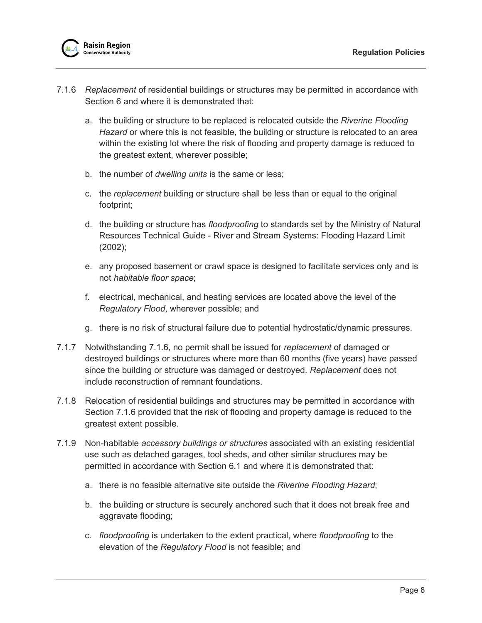- <span id="page-11-0"></span>7.1.6 *Replacement* of residential buildings or structures may be permitted in accordance with Section [6](#page-8-0) and where it is demonstrated that:
	- a. the building or structure to be replaced is relocated outside the *Riverine Flooding Hazard* or where this is not feasible, the building or structure is relocated to an area within the existing lot where the risk of flooding and property damage is reduced to the greatest extent, wherever possible;
	- b. the number of *dwelling units* is the same or less;
	- c. the *replacement* building or structure shall be less than or equal to the original footprint;
	- d. the building or structure has *floodproofing* to standards set by the Ministry of Natural Resources Technical Guide - River and Stream Systems: Flooding Hazard Limit (2002);
	- e. any proposed basement or crawl space is designed to facilitate services only and is not *habitable floor space*;
	- f. electrical, mechanical, and heating services are located above the level of the *Regulatory Flood*, wherever possible; and
	- g. there is no risk of structural failure due to potential hydrostatic/dynamic pressures.
- 7.1.7 Notwithstanding [7.1.6,](#page-11-0) no permit shall be issued for *replacement* of damaged or destroyed buildings or structures where more than 60 months (five years) have passed since the building or structure was damaged or destroyed. *Replacement* does not include reconstruction of remnant foundations.
- 7.1.8 Relocation of residential buildings and structures may be permitted in accordance with Section [7.1.6](#page-11-0) provided that the risk of flooding and property damage is reduced to the greatest extent possible.
- 7.1.9 Non-habitable *accessory buildings or structures* associated with an existing residential use such as detached garages, tool sheds, and other similar structures may be permitted in accordance with Section [6.1](#page-8-1) and where it is demonstrated that:
	- a. there is no feasible alternative site outside the *Riverine Flooding Hazard*;
	- b. the building or structure is securely anchored such that it does not break free and aggravate flooding;
	- c. *floodproofing* is undertaken to the extent practical, where *floodproofing* to the elevation of the *Regulatory Flood* is not feasible; and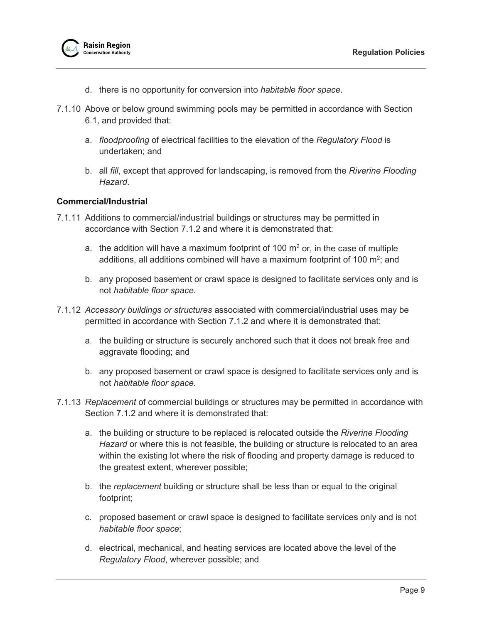

- d. there is no opportunity for conversion into *habitable floor space*.
- 7.1.10 Above or below ground swimming pools may be permitted in accordance with Section [6.1,](#page-8-1) and provided that:
	- a. *floodproofing* of electrical facilities to the elevation of the *Regulatory Flood* is undertaken; and
	- b. all *fill*, except that approved for landscaping, is removed from the *Riverine Flooding Hazard*.

## <span id="page-12-0"></span>**Commercial/Industrial**

- 7.1.11 Additions to commercial/industrial buildings or structures may be permitted in accordance with Section [7.1.2](#page-10-4) and where it is demonstrated that:
	- a. the addition will have a maximum footprint of 100  $m<sup>2</sup>$  or, in the case of multiple additions, all additions combined will have a maximum footprint of 100 m<sup>2</sup>; and
	- b. any proposed basement or crawl space is designed to facilitate services only and is not *habitable floor space*.
- 7.1.12 *Accessory buildings or structures* associated with commercial/industrial uses may be permitted in accordance with Section [7.1.2](#page-10-4) and where it is demonstrated that:
	- a. the building or structure is securely anchored such that it does not break free and aggravate flooding; and
	- b. any proposed basement or crawl space is designed to facilitate services only and is not *habitable floor space*.
- <span id="page-12-1"></span>7.1.13 *Replacement* of commercial buildings or structures may be permitted in accordance with Section [7.1.2](#page-10-4) and where it is demonstrated that:
	- a. the building or structure to be replaced is relocated outside the *Riverine Flooding Hazard* or where this is not feasible, the building or structure is relocated to an area within the existing lot where the risk of flooding and property damage is reduced to the greatest extent, wherever possible;
	- b. the *replacement* building or structure shall be less than or equal to the original footprint;
	- c. proposed basement or crawl space is designed to facilitate services only and is not *habitable floor space*;
	- d. electrical, mechanical, and heating services are located above the level of the *Regulatory Flood*, wherever possible; and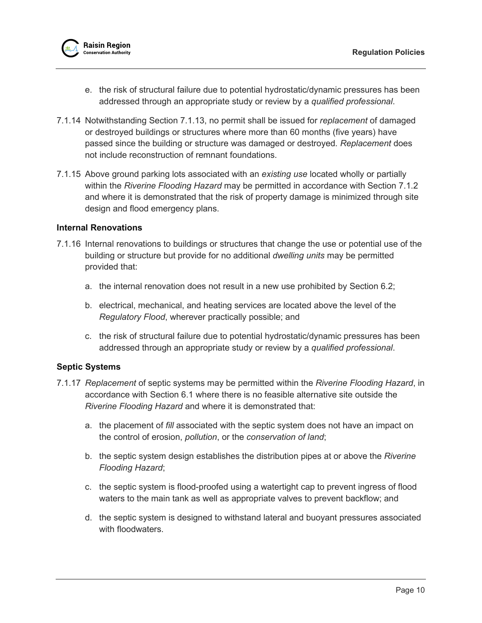

- e. the risk of structural failure due to potential hydrostatic/dynamic pressures has been addressed through an appropriate study or review by a *qualified professional*.
- 7.1.14 Notwithstanding Section [7.1.13,](#page-12-1) no permit shall be issued for *replacement* of damaged or destroyed buildings or structures where more than 60 months (five years) have passed since the building or structure was damaged or destroyed. *Replacement* does not include reconstruction of remnant foundations.
- 7.1.15 Above ground parking lots associated with an *existing use* located wholly or partially within the *Riverine Flooding Hazard* may be permitted in accordance with Section [7.1.2](#page-10-4) and where it is demonstrated that the risk of property damage is minimized through site design and flood emergency plans.

#### <span id="page-13-0"></span>**Internal Renovations**

- 7.1.16 Internal renovations to buildings or structures that change the use or potential use of the building or structure but provide for no additional *dwelling units* may be permitted provided that:
	- a. the internal renovation does not result in a new use prohibited by Section [6.2;](#page-9-1)
	- b. electrical, mechanical, and heating services are located above the level of the *Regulatory Flood*, wherever practically possible; and
	- c. the risk of structural failure due to potential hydrostatic/dynamic pressures has been addressed through an appropriate study or review by a *qualified professional*.

## <span id="page-13-1"></span>**Septic Systems**

- 7.1.17 *Replacement* of septic systems may be permitted within the *Riverine Flooding Hazard*, in accordance with Section [6.1](#page-8-1) where there is no feasible alternative site outside the *Riverine Flooding Hazard* and where it is demonstrated that:
	- a. the placement of *fill* associated with the septic system does not have an impact on the control of erosion, *pollution*, or the *conservation of land*;
	- b. the septic system design establishes the distribution pipes at or above the *Riverine Flooding Hazard*;
	- c. the septic system is flood-proofed using a watertight cap to prevent ingress of flood waters to the main tank as well as appropriate valves to prevent backflow; and
	- d. the septic system is designed to withstand lateral and buoyant pressures associated with floodwaters.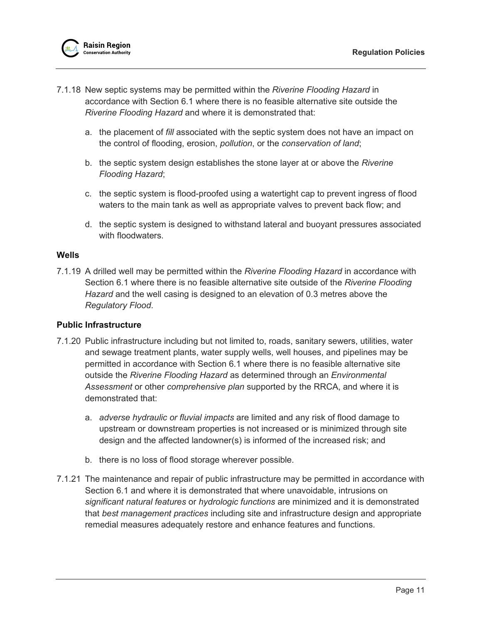

- 7.1.18 New septic systems may be permitted within the *Riverine Flooding Hazard* in accordance with Section [6.1](#page-8-1) where there is no feasible alternative site outside the *Riverine Flooding Hazard* and where it is demonstrated that:
	- a. the placement of *fill* associated with the septic system does not have an impact on the control of flooding, erosion, *pollution*, or the *conservation of land*;
	- b. the septic system design establishes the stone layer at or above the *Riverine Flooding Hazard*;
	- c. the septic system is flood-proofed using a watertight cap to prevent ingress of flood waters to the main tank as well as appropriate valves to prevent back flow; and
	- d. the septic system is designed to withstand lateral and buoyant pressures associated with floodwaters

## <span id="page-14-0"></span>**Wells**

7.1.19 A drilled well may be permitted within the *Riverine Flooding Hazard* in accordance with Section [6.1](#page-8-1) where there is no feasible alternative site outside of the *Riverine Flooding Hazard* and the well casing is designed to an elevation of 0.3 metres above the *Regulatory Flood*.

## <span id="page-14-1"></span>**Public Infrastructure**

- <span id="page-14-2"></span>7.1.20 Public infrastructure including but not limited to, roads, sanitary sewers, utilities, water and sewage treatment plants, water supply wells, well houses, and pipelines may be permitted in accordance with Section [6.1](#page-8-1) where there is no feasible alternative site outside the *Riverine Flooding Hazard* as determined through an *Environmental Assessment* or other *comprehensive plan* supported by the RRCA, and where it is demonstrated that:
	- a. *adverse hydraulic or fluvial impacts* are limited and any risk of flood damage to upstream or downstream properties is not increased or is minimized through site design and the affected landowner(s) is informed of the increased risk; and
	- b. there is no loss of flood storage wherever possible.
- 7.1.21 The maintenance and repair of public infrastructure may be permitted in accordance with Section [6.1](#page-8-1) and where it is demonstrated that where unavoidable, intrusions on *significant natural features* or *hydrologic functions* are minimized and it is demonstrated that *best management practices* including site and infrastructure design and appropriate remedial measures adequately restore and enhance features and functions.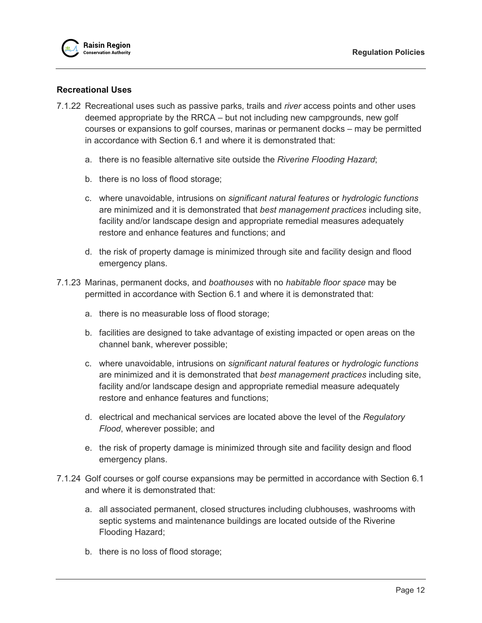

## <span id="page-15-0"></span>**Recreational Uses**

- <span id="page-15-1"></span>7.1.22 Recreational uses such as passive parks, trails and *river* access points and other uses deemed appropriate by the RRCA – but not including new campgrounds, new golf courses or expansions to golf courses, marinas or permanent docks – may be permitted in accordance with Section [6.1](#page-8-1) and where it is demonstrated that:
	- a. there is no feasible alternative site outside the *Riverine Flooding Hazard*;
	- b. there is no loss of flood storage;
	- c. where unavoidable, intrusions on *significant natural features* or *hydrologic functions* are minimized and it is demonstrated that *best management practices* including site, facility and/or landscape design and appropriate remedial measures adequately restore and enhance features and functions; and
	- d. the risk of property damage is minimized through site and facility design and flood emergency plans.
- 7.1.23 Marinas, permanent docks, and *boathouses* with no *habitable floor space* may be permitted in accordance with Section [6.1](#page-8-1) and where it is demonstrated that:
	- a. there is no measurable loss of flood storage;
	- b. facilities are designed to take advantage of existing impacted or open areas on the channel bank, wherever possible;
	- c. where unavoidable, intrusions on *significant natural features* or *hydrologic functions* are minimized and it is demonstrated that *best management practices* including site, facility and/or landscape design and appropriate remedial measure adequately restore and enhance features and functions;
	- d. electrical and mechanical services are located above the level of the *Regulatory Flood*, wherever possible; and
	- e. the risk of property damage is minimized through site and facility design and flood emergency plans.
- 7.1.24 Golf courses or golf course expansions may be permitted in accordance with Section [6.1](#page-8-1) and where it is demonstrated that:
	- a. all associated permanent, closed structures including clubhouses, washrooms with septic systems and maintenance buildings are located outside of the Riverine Flooding Hazard;
	- b. there is no loss of flood storage;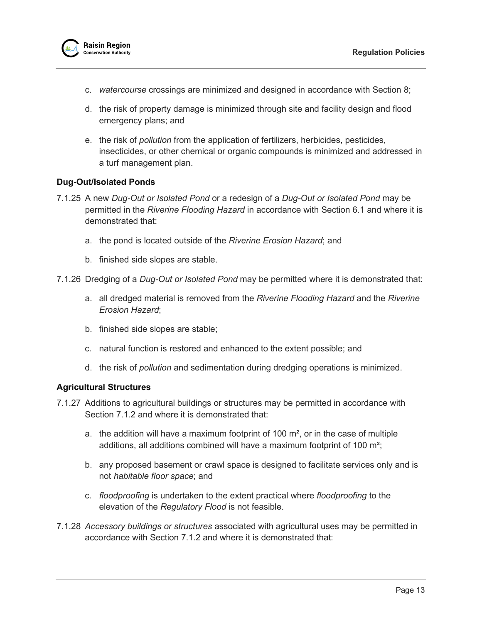

- c. *watercourse* crossings are minimized and designed in accordance with Section 8;
- d. the risk of property damage is minimized through site and facility design and flood emergency plans; and
- e. the risk of *pollution* from the application of fertilizers, herbicides, pesticides, insecticides, or other chemical or organic compounds is minimized and addressed in a turf management plan.

## <span id="page-16-0"></span>**Dug-Out/Isolated Ponds**

- 7.1.25 A new *Dug-Out or Isolated Pond* or a redesign of a *Dug-Out or Isolated Pond* may be permitted in the *Riverine Flooding Hazard* in accordance with Section [6.1](#page-8-1) and where it is demonstrated that:
	- a. the pond is located outside of the *Riverine Erosion Hazard*; and
	- b. finished side slopes are stable.
- <span id="page-16-2"></span>7.1.26 Dredging of a *Dug-Out or Isolated Pond* may be permitted where it is demonstrated that:
	- a. all dredged material is removed from the *Riverine Flooding Hazard* and the *Riverine Erosion Hazard*;
	- b. finished side slopes are stable;
	- c. natural function is restored and enhanced to the extent possible; and
	- d. the risk of *pollution* and sedimentation during dredging operations is minimized.

#### <span id="page-16-1"></span>**Agricultural Structures**

- 7.1.27 Additions to agricultural buildings or structures may be permitted in accordance with Section [7.1.2](#page-10-4) and where it is demonstrated that:
	- a. the addition will have a maximum footprint of 100  $\mathrm{m}^2$ , or in the case of multiple additions, all additions combined will have a maximum footprint of 100 m²;
	- b. any proposed basement or crawl space is designed to facilitate services only and is not *habitable floor space*; and
	- c. *floodproofing* is undertaken to the extent practical where *floodproofing* to the elevation of the *Regulatory Flood* is not feasible.
- 7.1.28 *Accessory buildings or structures* associated with agricultural uses may be permitted in accordance with Section [7.1.2](#page-10-4) and where it is demonstrated that: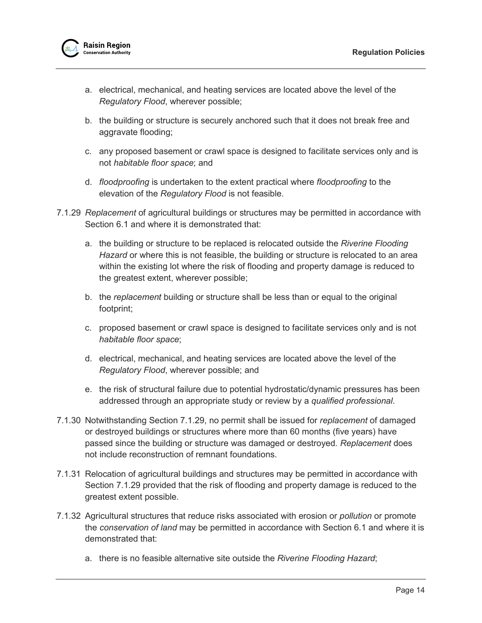

- a. electrical, mechanical, and heating services are located above the level of the *Regulatory Flood*, wherever possible;
- b. the building or structure is securely anchored such that it does not break free and aggravate flooding;
- c. any proposed basement or crawl space is designed to facilitate services only and is not *habitable floor space*; and
- d. *floodproofing* is undertaken to the extent practical where *floodproofing* to the elevation of the *Regulatory Flood* is not feasible.
- <span id="page-17-1"></span>7.1.29 *Replacement* of agricultural buildings or structures may be permitted in accordance with Section [6.1](#page-8-1) and where it is demonstrated that:
	- a. the building or structure to be replaced is relocated outside the *Riverine Flooding Hazard* or where this is not feasible, the building or structure is relocated to an area within the existing lot where the risk of flooding and property damage is reduced to the greatest extent, wherever possible;
	- b. the *replacement* building or structure shall be less than or equal to the original footprint;
	- c. proposed basement or crawl space is designed to facilitate services only and is not *habitable floor space*;
	- d. electrical, mechanical, and heating services are located above the level of the *Regulatory Flood*, wherever possible; and
	- e. the risk of structural failure due to potential hydrostatic/dynamic pressures has been addressed through an appropriate study or review by a *qualified professional*.
- 7.1.30 Notwithstanding Section [7.1.29,](#page-17-1) no permit shall be issued for *replacement* of damaged or destroyed buildings or structures where more than 60 months (five years) have passed since the building or structure was damaged or destroyed. *Replacement* does not include reconstruction of remnant foundations.
- 7.1.31 Relocation of agricultural buildings and structures may be permitted in accordance with Section [7.1.29](#page-17-1) provided that the risk of flooding and property damage is reduced to the greatest extent possible.
- <span id="page-17-0"></span>7.1.32 Agricultural structures that reduce risks associated with erosion or *pollution* or promote the *conservation of land* may be permitted in accordance with Section [6.1](#page-8-1) and where it is demonstrated that:
	- a. there is no feasible alternative site outside the *Riverine Flooding Hazard*;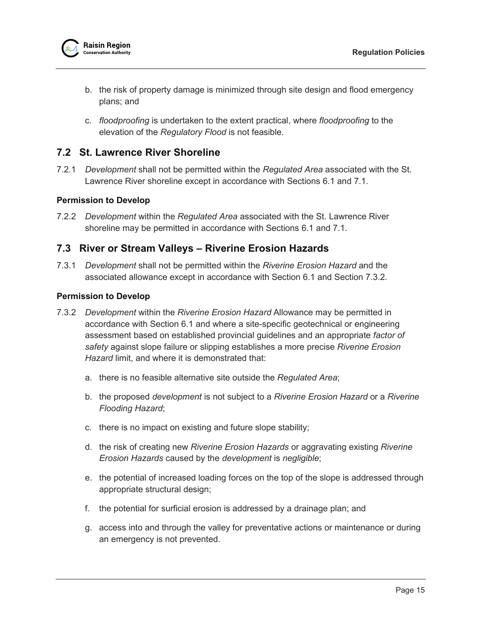

- b. the risk of property damage is minimized through site design and flood emergency plans; and
- c. *floodproofing* is undertaken to the extent practical, where *floodproofing* to the elevation of the *Regulatory Flood* is not feasible.

# <span id="page-18-0"></span>**7.2 St. Lawrence River Shoreline**

7.2.1 *Development* shall not be permitted within the *Regulated Area* associated with the St. Lawrence River shoreline except in accordance with Sections [6.1](#page-8-1) and [7.1.](#page-10-1)

## <span id="page-18-1"></span>**Permission to Develop**

7.2.2 *Development* within the *Regulated Area* associated with the St. Lawrence River shoreline may be permitted in accordance with Sections [6.1](#page-8-1) and [7.1.](#page-10-1)

# <span id="page-18-2"></span>**7.3 River or Stream Valleys – Riverine Erosion Hazards**

7.3.1 *Development* shall not be permitted within the *Riverine Erosion Hazard* and the associated allowance except in accordance with Section [6.1](#page-8-1) and Section [7.3.2.](#page-18-4)

#### <span id="page-18-3"></span>**Permission to Develop**

- <span id="page-18-4"></span>7.3.2 *Development* within the *Riverine Erosion Hazard* Allowance may be permitted in accordance with Section [6.1](#page-8-1) and where a site-specific geotechnical or engineering assessment based on established provincial guidelines and an appropriate *factor of safety* against slope failure or slipping establishes a more precise *Riverine Erosion Hazard* limit, and where it is demonstrated that:
	- a. there is no feasible alternative site outside the *Regulated Area*;
	- b. the proposed *development* is not subject to a *Riverine Erosion Hazard* or a *Riverine Flooding Hazard*;
	- c. there is no impact on existing and future slope stability;
	- d. the risk of creating new *Riverine Erosion Hazards* or aggravating existing *Riverine Erosion Hazards* caused by the *development* is *negligible*;
	- e. the potential of increased loading forces on the top of the slope is addressed through appropriate structural design;
	- f. the potential for surficial erosion is addressed by a drainage plan; and
	- g. access into and through the valley for preventative actions or maintenance or during an emergency is not prevented.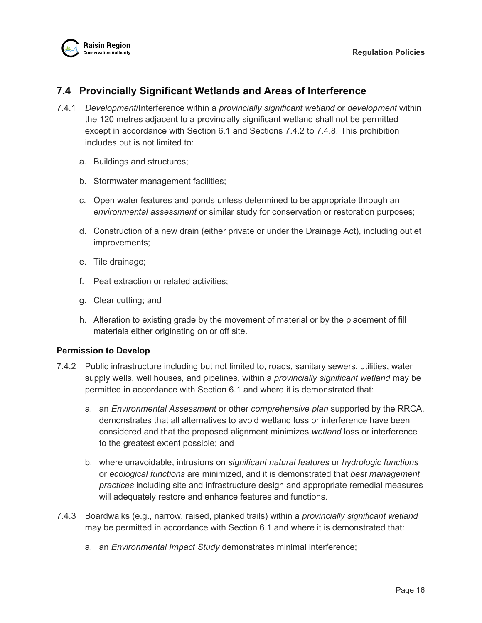# <span id="page-19-0"></span>**7.4 Provincially Significant Wetlands and Areas of Interference**

- 7.4.1 *Development*/Interference within a *provincially significant wetland* or *development* within the 120 metres adjacent to a provincially significant wetland shall not be permitted except in accordance with Section [6.1](#page-8-1) and Sections [7.4.2](#page-19-2) to [7.4.8.](#page-20-3) This prohibition includes but is not limited to:
	- a. Buildings and structures;
	- b. Stormwater management facilities;
	- c. Open water features and ponds unless determined to be appropriate through an *environmental assessment* or similar study for conservation or restoration purposes;
	- d. Construction of a new drain (either private or under the Drainage Act), including outlet improvements;
	- e. Tile drainage;
	- f. Peat extraction or related activities;
	- g. Clear cutting; and
	- h. Alteration to existing grade by the movement of material or by the placement of fill materials either originating on or off site.

## <span id="page-19-1"></span>**Permission to Develop**

- <span id="page-19-2"></span>7.4.2 Public infrastructure including but not limited to, roads, sanitary sewers, utilities, water supply wells, well houses, and pipelines, within a *provincially significant wetland* may be permitted in accordance with Section [6.1](#page-8-1) and where it is demonstrated that:
	- a. an *Environmental Assessment* or other *comprehensive plan* supported by the RRCA, demonstrates that all alternatives to avoid wetland loss or interference have been considered and that the proposed alignment minimizes *wetland* loss or interference to the greatest extent possible; and
	- b. where unavoidable, intrusions on *significant natural features* or *hydrologic functions* or *ecological functions* are minimized, and it is demonstrated that *best management practices* including site and infrastructure design and appropriate remedial measures will adequately restore and enhance features and functions.
- 7.4.3 Boardwalks (e.g., narrow, raised, planked trails) within a *provincially significant wetland* may be permitted in accordance with Section [6.1](#page-8-1) and where it is demonstrated that:
	- a. an *Environmental Impact Study* demonstrates minimal interference;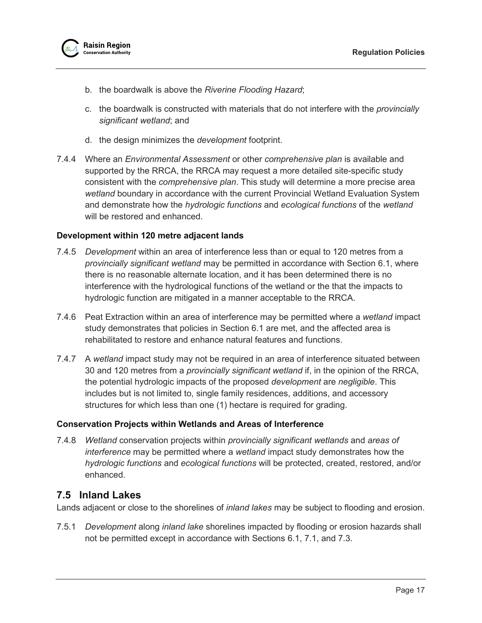

- b. the boardwalk is above the *Riverine Flooding Hazard*;
- c. the boardwalk is constructed with materials that do not interfere with the *provincially significant wetland*; and
- d. the design minimizes the *development* footprint.
- 7.4.4 Where an *Environmental Assessment* or other *comprehensive plan* is available and supported by the RRCA, the RRCA may request a more detailed site-specific study consistent with the *comprehensive plan*. This study will determine a more precise area *wetland* boundary in accordance with the current Provincial Wetland Evaluation System and demonstrate how the *hydrologic functions* and *ecological functions* of the *wetland* will be restored and enhanced.

#### <span id="page-20-0"></span>**Development within 120 metre adjacent lands**

- 7.4.5 *Development* within an area of interference less than or equal to 120 metres from a *provincially significant wetland* may be permitted in accordance with Section [6.1,](#page-8-1) where there is no reasonable alternate location, and it has been determined there is no interference with the hydrological functions of the wetland or the that the impacts to hydrologic function are mitigated in a manner acceptable to the RRCA.
- 7.4.6 Peat Extraction within an area of interference may be permitted where a *wetland* impact study demonstrates that policies in Section [6.1](#page-8-1) are met, and the affected area is rehabilitated to restore and enhance natural features and functions.
- 7.4.7 A *wetland* impact study may not be required in an area of interference situated between 30 and 120 metres from a *provincially significant wetland* if, in the opinion of the RRCA, the potential hydrologic impacts of the proposed *development* are *negligible*. This includes but is not limited to, single family residences, additions, and accessory structures for which less than one (1) hectare is required for grading.

#### <span id="page-20-1"></span>**Conservation Projects within Wetlands and Areas of Interference**

<span id="page-20-3"></span>7.4.8 *Wetland* conservation projects within *provincially significant wetlands* and *areas of interference* may be permitted where a *wetland* impact study demonstrates how the *hydrologic functions* and *ecological functions* will be protected, created, restored, and/or enhanced.

# <span id="page-20-2"></span>**7.5 Inland Lakes**

Lands adjacent or close to the shorelines of *inland lakes* may be subject to flooding and erosion.

<span id="page-20-4"></span>7.5.1 *Development* along *inland lake* shorelines impacted by flooding or erosion hazards shall not be permitted except in accordance with Sections [6.1,](#page-8-1) [7.1,](#page-10-1) and [7.3.](#page-18-2)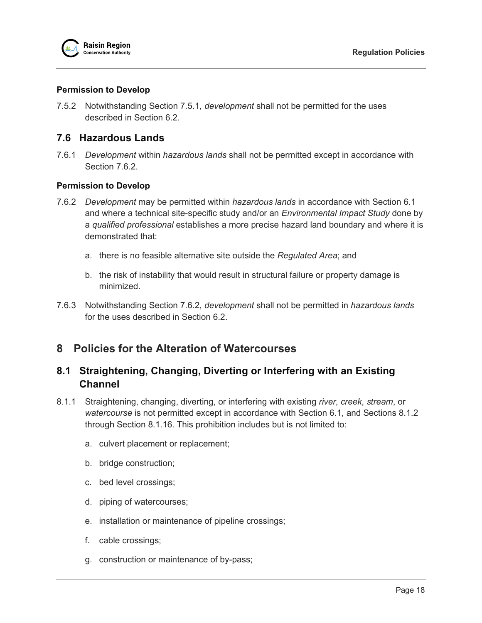## <span id="page-21-0"></span>**Permission to Develop**

7.5.2 Notwithstanding Section [7.5.1,](#page-20-4) *development* shall not be permitted for the uses described in Section [6.2.](#page-9-1)

# <span id="page-21-1"></span>**7.6 Hazardous Lands**

7.6.1 *Development* within *hazardous lands* shall not be permitted except in accordance with Section [7.6.2.](#page-21-5)

## <span id="page-21-2"></span>**Permission to Develop**

- <span id="page-21-5"></span>7.6.2 *Development* may be permitted within *hazardous lands* in accordance with Section [6.1](#page-8-1) and where a technical site-specific study and/or an *Environmental Impact Study* done by a *qualified professional* establishes a more precise hazard land boundary and where it is demonstrated that:
	- a. there is no feasible alternative site outside the *Regulated Area*; and
	- b. the risk of instability that would result in structural failure or property damage is minimized.
- 7.6.3 Notwithstanding Section [7.6.2,](#page-21-5) *development* shall not be permitted in *hazardous lands* for the uses described in Section [6.2.](#page-9-1)

# <span id="page-21-3"></span>**8 Policies for the Alteration of Watercourses**

# <span id="page-21-4"></span>**8.1 Straightening, Changing, Diverting or Interfering with an Existing Channel**

- 8.1.1 Straightening, changing, diverting, or interfering with existing *river*, *creek*, *stream*, or *watercourse* is not permitted except in accordance with Section [6.1,](#page-8-1) and Sections [8.1.2](#page-22-2) through Section [8.1.16.](#page-26-2) This prohibition includes but is not limited to:
	- a. culvert placement or replacement;
	- b. bridge construction;
	- c. bed level crossings;
	- d. piping of watercourses;
	- e. installation or maintenance of pipeline crossings;
	- f. cable crossings;
	- g. construction or maintenance of by-pass;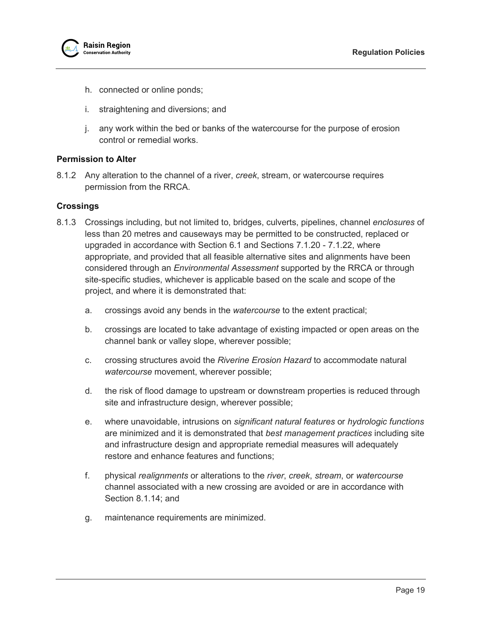

- h. connected or online ponds;
- i. straightening and diversions; and
- j. any work within the bed or banks of the watercourse for the purpose of erosion control or remedial works.

#### <span id="page-22-0"></span>**Permission to Alter**

<span id="page-22-2"></span>8.1.2 Any alteration to the channel of a river, *creek*, stream, or watercourse requires permission from the RRCA.

#### <span id="page-22-1"></span>**Crossings**

- 8.1.3 Crossings including, but not limited to, bridges, culverts, pipelines, channel *enclosures* of less than 20 metres and causeways may be permitted to be constructed, replaced or upgraded in accordance with Section [6.1](#page-8-1) and Sections [7.1.20](#page-14-2) - [7.1.22,](#page-15-1) where appropriate, and provided that all feasible alternative sites and alignments have been considered through an *Environmental Assessment* supported by the RRCA or through site-specific studies, whichever is applicable based on the scale and scope of the project, and where it is demonstrated that:
	- a. crossings avoid any bends in the *watercourse* to the extent practical;
	- b. crossings are located to take advantage of existing impacted or open areas on the channel bank or valley slope, wherever possible;
	- c. crossing structures avoid the *Riverine Erosion Hazard* to accommodate natural *watercourse* movement, wherever possible;
	- d. the risk of flood damage to upstream or downstream properties is reduced through site and infrastructure design, wherever possible;
	- e. where unavoidable, intrusions on *significant natural features* or *hydrologic functions* are minimized and it is demonstrated that *best management practices* including site and infrastructure design and appropriate remedial measures will adequately restore and enhance features and functions;
	- f. physical *realignments* or alterations to the *river*, *creek*, *stream*, or *watercourse* channel associated with a new crossing are avoided or are in accordance with Section [8.1.14;](#page-25-2) and
	- g. maintenance requirements are minimized.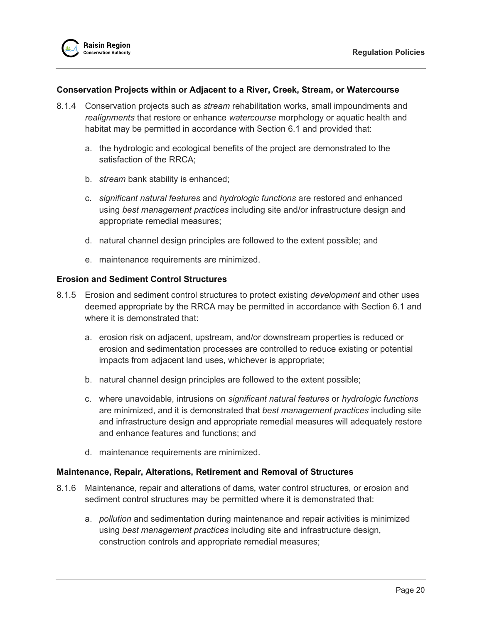#### <span id="page-23-0"></span>**Conservation Projects within or Adjacent to a River, Creek, Stream, or Watercourse**

- 8.1.4 Conservation projects such as *stream* rehabilitation works, small impoundments and *realignments* that restore or enhance *watercourse* morphology or aquatic health and habitat may be permitted in accordance with Section [6.1](#page-8-1) and provided that:
	- a. the hydrologic and ecological benefits of the project are demonstrated to the satisfaction of the RRCA;
	- b. *stream* bank stability is enhanced;
	- c. *significant natural features* and *hydrologic functions* are restored and enhanced using *best management practices* including site and/or infrastructure design and appropriate remedial measures;
	- d. natural channel design principles are followed to the extent possible; and
	- e. maintenance requirements are minimized.

## <span id="page-23-1"></span>**Erosion and Sediment Control Structures**

- 8.1.5 Erosion and sediment control structures to protect existing *development* and other uses deemed appropriate by the RRCA may be permitted in accordance with Section [6.1](#page-8-1) and where it is demonstrated that:
	- a. erosion risk on adjacent, upstream, and/or downstream properties is reduced or erosion and sedimentation processes are controlled to reduce existing or potential impacts from adjacent land uses, whichever is appropriate;
	- b. natural channel design principles are followed to the extent possible;
	- c. where unavoidable, intrusions on *significant natural features* or *hydrologic functions* are minimized, and it is demonstrated that *best management practices* including site and infrastructure design and appropriate remedial measures will adequately restore and enhance features and functions; and
	- d. maintenance requirements are minimized.

#### <span id="page-23-2"></span>**Maintenance, Repair, Alterations, Retirement and Removal of Structures**

- 8.1.6 Maintenance, repair and alterations of dams*,* water control structures, or erosion and sediment control structures may be permitted where it is demonstrated that:
	- a. *pollution* and sedimentation during maintenance and repair activities is minimized using *best management practices* including site and infrastructure design, construction controls and appropriate remedial measures;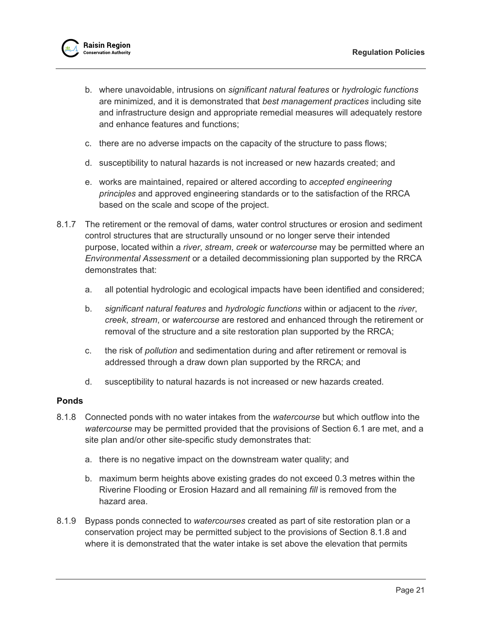

- b. where unavoidable, intrusions on *significant natural features* or *hydrologic functions* are minimized, and it is demonstrated that *best management practices* including site and infrastructure design and appropriate remedial measures will adequately restore and enhance features and functions;
- c. there are no adverse impacts on the capacity of the structure to pass flows;
- d. susceptibility to natural hazards is not increased or new hazards created; and
- e. works are maintained, repaired or altered according to *accepted engineering principles* and approved engineering standards or to the satisfaction of the RRCA based on the scale and scope of the project.
- 8.1.7 The retirement or the removal of dams*,* water control structures or erosion and sediment control structures that are structurally unsound or no longer serve their intended purpose, located within a *river*, *stream*, *creek* or *watercourse* may be permitted where an *Environmental Assessment* or a detailed decommissioning plan supported by the RRCA demonstrates that:
	- a. all potential hydrologic and ecological impacts have been identified and considered;
	- b. *significant natural features* and *hydrologic functions* within or adjacent to the *river*, *creek*, *stream*, or *watercourse* are restored and enhanced through the retirement or removal of the structure and a site restoration plan supported by the RRCA;
	- c. the risk of *pollution* and sedimentation during and after retirement or removal is addressed through a draw down plan supported by the RRCA; and
	- d. susceptibility to natural hazards is not increased or new hazards created.

#### <span id="page-24-0"></span>**Ponds**

- 8.1.8 Connected ponds with no water intakes from the *watercourse* but which outflow into the *watercourse* may be permitted provided that the provisions of Section [6.1](#page-8-1) are met, and a site plan and/or other site-specific study demonstrates that:
	- a. there is no negative impact on the downstream water quality; and
	- b. maximum berm heights above existing grades do not exceed 0.3 metres within the Riverine Flooding or Erosion Hazard and all remaining *fill* is removed from the hazard area.
- <span id="page-24-1"></span>8.1.9 Bypass ponds connected to *watercourses* created as part of site restoration plan or a conservation project may be permitted subject to the provisions of Section 8.1.8 and where it is demonstrated that the water intake is set above the elevation that permits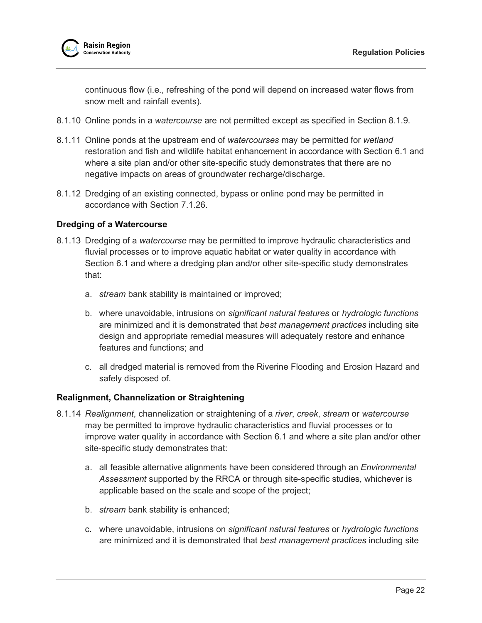

continuous flow (i.e., refreshing of the pond will depend on increased water flows from snow melt and rainfall events).

- 8.1.10 Online ponds in a *watercourse* are not permitted except as specified in Section [8.1.9.](#page-24-1)
- 8.1.11 Online ponds at the upstream end of *watercourses* may be permitted for *wetland* restoration and fish and wildlife habitat enhancement in accordance with Section [6.1](#page-8-1) and where a site plan and/or other site-specific study demonstrates that there are no negative impacts on areas of groundwater recharge/discharge.
- 8.1.12 Dredging of an existing connected, bypass or online pond may be permitted in accordance with Section [7.1.26.](#page-16-2)

## <span id="page-25-0"></span>**Dredging of a Watercourse**

- 8.1.13 Dredging of a *watercourse* may be permitted to improve hydraulic characteristics and fluvial processes or to improve aquatic habitat or water quality in accordance with Section [6.1](#page-8-1) and where a dredging plan and/or other site-specific study demonstrates that:
	- a. *stream* bank stability is maintained or improved;
	- b. where unavoidable, intrusions on *significant natural features* or *hydrologic functions* are minimized and it is demonstrated that *best management practices* including site design and appropriate remedial measures will adequately restore and enhance features and functions; and
	- c. all dredged material is removed from the Riverine Flooding and Erosion Hazard and safely disposed of.

# <span id="page-25-1"></span>**Realignment, Channelization or Straightening**

- <span id="page-25-2"></span>8.1.14 *Realignment*, channelization or straightening of a *river*, *creek*, *stream* or *watercourse* may be permitted to improve hydraulic characteristics and fluvial processes or to improve water quality in accordance with Section [6.1](#page-8-1) and where a site plan and/or other site-specific study demonstrates that:
	- a. all feasible alternative alignments have been considered through an *Environmental Assessment* supported by the RRCA or through site-specific studies, whichever is applicable based on the scale and scope of the project;
	- b. *stream* bank stability is enhanced;
	- c. where unavoidable, intrusions on *significant natural features* or *hydrologic functions* are minimized and it is demonstrated that *best management practices* including site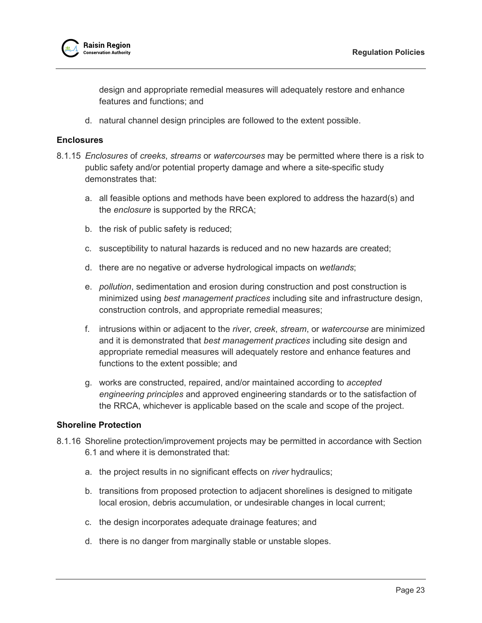design and appropriate remedial measures will adequately restore and enhance features and functions; and

d. natural channel design principles are followed to the extent possible.

## <span id="page-26-0"></span>**Enclosures**

- 8.1.15 *Enclosures* of *creeks*, *streams* or *watercourses* may be permitted where there is a risk to public safety and/or potential property damage and where a site-specific study demonstrates that:
	- a. all feasible options and methods have been explored to address the hazard(s) and the *enclosure* is supported by the RRCA;
	- b. the risk of public safety is reduced;
	- c. susceptibility to natural hazards is reduced and no new hazards are created;
	- d. there are no negative or adverse hydrological impacts on *wetlands*;
	- e. *pollution*, sedimentation and erosion during construction and post construction is minimized using *best management practices* including site and infrastructure design, construction controls, and appropriate remedial measures;
	- f. intrusions within or adjacent to the *river*, *creek*, *stream*, or *watercourse* are minimized and it is demonstrated that *best management practices* including site design and appropriate remedial measures will adequately restore and enhance features and functions to the extent possible; and
	- g. works are constructed, repaired, and/or maintained according to *accepted engineering principles* and approved engineering standards or to the satisfaction of the RRCA, whichever is applicable based on the scale and scope of the project.

## <span id="page-26-1"></span>**Shoreline Protection**

- <span id="page-26-2"></span>8.1.16 Shoreline protection/improvement projects may be permitted in accordance with Section [6.1](#page-8-1) and where it is demonstrated that:
	- a. the project results in no significant effects on *river* hydraulics;
	- b. transitions from proposed protection to adjacent shorelines is designed to mitigate local erosion, debris accumulation, or undesirable changes in local current;
	- c. the design incorporates adequate drainage features; and
	- d. there is no danger from marginally stable or unstable slopes.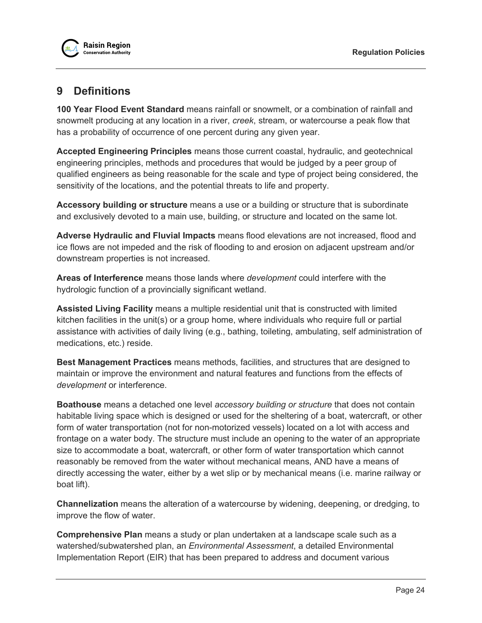# <span id="page-27-0"></span>**9 Definitions**

**100 Year Flood Event Standard** means rainfall or snowmelt, or a combination of rainfall and snowmelt producing at any location in a river, *creek*, stream, or watercourse a peak flow that has a probability of occurrence of one percent during any given year.

**Accepted Engineering Principles** means those current coastal, hydraulic, and geotechnical engineering principles, methods and procedures that would be judged by a peer group of qualified engineers as being reasonable for the scale and type of project being considered, the sensitivity of the locations, and the potential threats to life and property.

**Accessory building or structure** means a use or a building or structure that is subordinate and exclusively devoted to a main use, building, or structure and located on the same lot.

**Adverse Hydraulic and Fluvial Impacts** means flood elevations are not increased, flood and ice flows are not impeded and the risk of flooding to and erosion on adjacent upstream and/or downstream properties is not increased.

**Areas of Interference** means those lands where *development* could interfere with the hydrologic function of a provincially significant wetland.

**Assisted Living Facility** means a multiple residential unit that is constructed with limited kitchen facilities in the unit(s) or a group home, where individuals who require full or partial assistance with activities of daily living (e.g., bathing, toileting, ambulating, self administration of medications, etc.) reside.

**Best Management Practices** means methods, facilities, and structures that are designed to maintain or improve the environment and natural features and functions from the effects of *development* or interference.

**Boathouse** means a detached one level *accessory building or structure* that does not contain habitable living space which is designed or used for the sheltering of a boat, watercraft, or other form of water transportation (not for non-motorized vessels) located on a lot with access and frontage on a water body. The structure must include an opening to the water of an appropriate size to accommodate a boat, watercraft, or other form of water transportation which cannot reasonably be removed from the water without mechanical means, AND have a means of directly accessing the water, either by a wet slip or by mechanical means (i.e. marine railway or boat lift).

**Channelization** means the alteration of a watercourse by widening, deepening, or dredging, to improve the flow of water.

**Comprehensive Plan** means a study or plan undertaken at a landscape scale such as a watershed/subwatershed plan, an *Environmental Assessment*, a detailed Environmental Implementation Report (EIR) that has been prepared to address and document various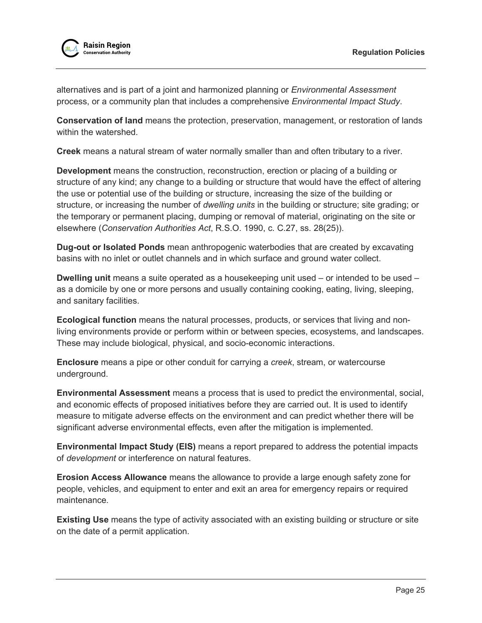

alternatives and is part of a joint and harmonized planning or *Environmental Assessment* process, or a community plan that includes a comprehensive *Environmental Impact Study*.

**Conservation of land** means the protection, preservation, management, or restoration of lands within the watershed.

**Creek** means a natural stream of water normally smaller than and often tributary to a river.

**Development** means the construction, reconstruction, erection or placing of a building or structure of any kind; any change to a building or structure that would have the effect of altering the use or potential use of the building or structure, increasing the size of the building or structure, or increasing the number of *dwelling units* in the building or structure; site grading; or the temporary or permanent placing, dumping or removal of material, originating on the site or elsewhere (*Conservation Authorities Act*, R.S.O. 1990, c. C.27, ss. 28(25)).

**Dug-out or Isolated Ponds** mean anthropogenic waterbodies that are created by excavating basins with no inlet or outlet channels and in which surface and ground water collect.

**Dwelling unit** means a suite operated as a housekeeping unit used – or intended to be used – as a domicile by one or more persons and usually containing cooking, eating, living, sleeping, and sanitary facilities.

**Ecological function** means the natural processes, products, or services that living and nonliving environments provide or perform within or between species, ecosystems, and landscapes. These may include biological, physical, and socio-economic interactions.

**Enclosure** means a pipe or other conduit for carrying a *creek*, stream, or watercourse underground.

**Environmental Assessment** means a process that is used to predict the environmental, social, and economic effects of proposed initiatives before they are carried out. It is used to identify measure to mitigate adverse effects on the environment and can predict whether there will be significant adverse environmental effects, even after the mitigation is implemented.

**Environmental Impact Study (EIS)** means a report prepared to address the potential impacts of *development* or interference on natural features.

**Erosion Access Allowance** means the allowance to provide a large enough safety zone for people, vehicles, and equipment to enter and exit an area for emergency repairs or required maintenance.

**Existing Use** means the type of activity associated with an existing building or structure or site on the date of a permit application.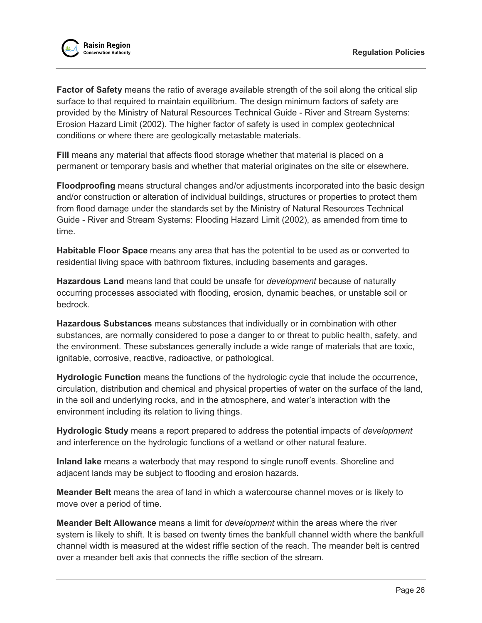

**Factor of Safety** means the ratio of average available strength of the soil along the critical slip surface to that required to maintain equilibrium. The design minimum factors of safety are provided by the Ministry of Natural Resources Technical Guide - River and Stream Systems: Erosion Hazard Limit (2002). The higher factor of safety is used in complex geotechnical conditions or where there are geologically metastable materials.

**Fill** means any material that affects flood storage whether that material is placed on a permanent or temporary basis and whether that material originates on the site or elsewhere.

**Floodproofing** means structural changes and/or adjustments incorporated into the basic design and/or construction or alteration of individual buildings, structures or properties to protect them from flood damage under the standards set by the Ministry of Natural Resources Technical Guide - River and Stream Systems: Flooding Hazard Limit (2002), as amended from time to time.

**Habitable Floor Space** means any area that has the potential to be used as or converted to residential living space with bathroom fixtures, including basements and garages.

**Hazardous Land** means land that could be unsafe for *development* because of naturally occurring processes associated with flooding, erosion, dynamic beaches, or unstable soil or bedrock.

**Hazardous Substances** means substances that individually or in combination with other substances, are normally considered to pose a danger to or threat to public health, safety, and the environment. These substances generally include a wide range of materials that are toxic, ignitable, corrosive, reactive, radioactive, or pathological.

**Hydrologic Function** means the functions of the hydrologic cycle that include the occurrence, circulation, distribution and chemical and physical properties of water on the surface of the land, in the soil and underlying rocks, and in the atmosphere, and water's interaction with the environment including its relation to living things.

**Hydrologic Study** means a report prepared to address the potential impacts of *development* and interference on the hydrologic functions of a wetland or other natural feature.

**Inland lake** means a waterbody that may respond to single runoff events. Shoreline and adjacent lands may be subject to flooding and erosion hazards.

**Meander Belt** means the area of land in which a watercourse channel moves or is likely to move over a period of time.

**Meander Belt Allowance** means a limit for *development* within the areas where the river system is likely to shift. It is based on twenty times the bankfull channel width where the bankfull channel width is measured at the widest riffle section of the reach. The meander belt is centred over a meander belt axis that connects the riffle section of the stream.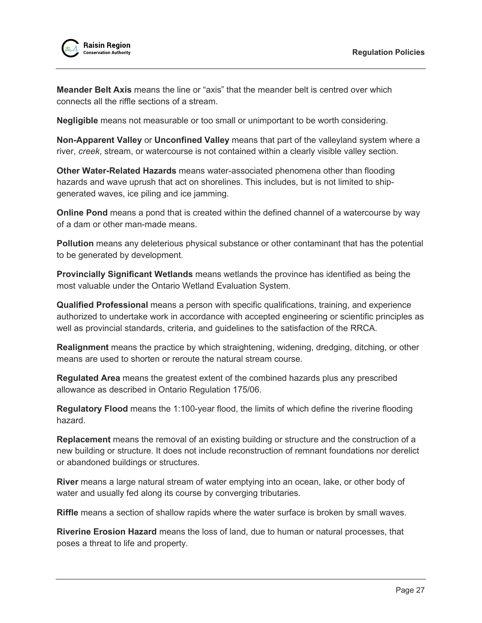

**Meander Belt Axis** means the line or "axis" that the meander belt is centred over which connects all the riffle sections of a stream.

**Negligible** means not measurable or too small or unimportant to be worth considering.

**Non-Apparent Valley** or **Unconfined Valley** means that part of the valleyland system where a river, *creek*, stream, or watercourse is not contained within a clearly visible valley section.

**Other Water-Related Hazards** means water-associated phenomena other than flooding hazards and wave uprush that act on shorelines. This includes, but is not limited to shipgenerated waves, ice piling and ice jamming.

**Online Pond** means a pond that is created within the defined channel of a watercourse by way of a dam or other man-made means.

**Pollution** means any deleterious physical substance or other contaminant that has the potential to be generated by development.

**Provincially Significant Wetlands** means wetlands the province has identified as being the most valuable under the Ontario Wetland Evaluation System.

**Qualified Professional** means a person with specific qualifications, training, and experience authorized to undertake work in accordance with accepted engineering or scientific principles as well as provincial standards, criteria, and guidelines to the satisfaction of the RRCA.

**Realignment** means the practice by which straightening, widening, dredging, ditching, or other means are used to shorten or reroute the natural stream course.

**Regulated Area** means the greatest extent of the combined hazards plus any prescribed allowance as described in Ontario Regulation 175/06.

**Regulatory Flood** means the 1:100-year flood, the limits of which define the riverine flooding hazard.

**Replacement** means the removal of an existing building or structure and the construction of a new building or structure. It does not include reconstruction of remnant foundations nor derelict or abandoned buildings or structures.

**River** means a large natural stream of water emptying into an ocean, lake, or other body of water and usually fed along its course by converging tributaries.

**Riffle** means a section of shallow rapids where the water surface is broken by small waves.

**Riverine Erosion Hazard** means the loss of land, due to human or natural processes, that poses a threat to life and property.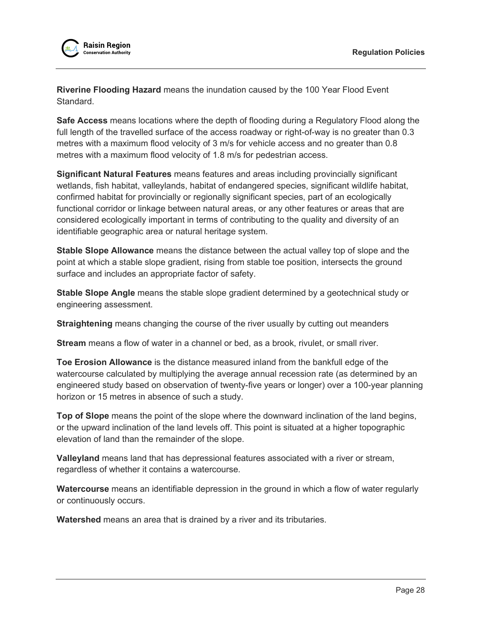

**Riverine Flooding Hazard** means the inundation caused by the 100 Year Flood Event Standard.

**Safe Access** means locations where the depth of flooding during a Regulatory Flood along the full length of the travelled surface of the access roadway or right-of-way is no greater than 0.3 metres with a maximum flood velocity of 3 m/s for vehicle access and no greater than 0.8 metres with a maximum flood velocity of 1.8 m/s for pedestrian access.

**Significant Natural Features** means features and areas including provincially significant wetlands, fish habitat, valleylands, habitat of endangered species, significant wildlife habitat, confirmed habitat for provincially or regionally significant species, part of an ecologically functional corridor or linkage between natural areas, or any other features or areas that are considered ecologically important in terms of contributing to the quality and diversity of an identifiable geographic area or natural heritage system.

**Stable Slope Allowance** means the distance between the actual valley top of slope and the point at which a stable slope gradient, rising from stable toe position, intersects the ground surface and includes an appropriate factor of safety.

**Stable Slope Angle** means the stable slope gradient determined by a geotechnical study or engineering assessment.

**Straightening** means changing the course of the river usually by cutting out meanders

**Stream** means a flow of water in a channel or bed, as a brook, rivulet, or small river.

**Toe Erosion Allowance** is the distance measured inland from the bankfull edge of the watercourse calculated by multiplying the average annual recession rate (as determined by an engineered study based on observation of twenty-five years or longer) over a 100-year planning horizon or 15 metres in absence of such a study.

**Top of Slope** means the point of the slope where the downward inclination of the land begins, or the upward inclination of the land levels off. This point is situated at a higher topographic elevation of land than the remainder of the slope.

**Valleyland** means land that has depressional features associated with a river or stream, regardless of whether it contains a watercourse.

**Watercourse** means an identifiable depression in the ground in which a flow of water regularly or continuously occurs.

**Watershed** means an area that is drained by a river and its tributaries.